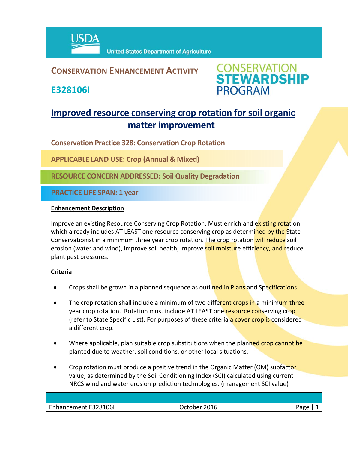

# **CONSERVATION ENHANCEMENT ACTIVITY**

**E328106I**



# **Improved resource conserving crop rotation for soil organic matter improvement**

**Conservation Practice 328: Conservation Crop Rotation**

**APPLICABLE LAND USE: Crop (Annual & Mixed)**

**RESOURCE CONCERN ADDRESSED: Soil Quality Degradation**

**PRACTICE LIFE SPAN: 1 year**

#### **Enhancement Description**

Improve an existing Resource Conserving Crop Rotation. Must enrich and existing rotation which already includes AT LEAST one resource conserving crop as determined by the State Conservationist in a minimum three year crop rotation. The crop rotation will reduce soil erosion (water and wind), improve soil health, improve soil moisture efficiency, and reduce plant pest pressures.

## **Criteria**

- Crops shall be grown in a planned sequence as outlined in Plans and Specifications.
- The crop rotation shall include a minimum of two different crops in a minimum three year crop rotation. Rotation must include AT LEAST one resource conserving crop (refer to State Specific List). For purposes of these criteria a cover crop is considered a different crop.
- Where applicable, plan suitable crop substitutions when the planned crop cannot be planted due to weather, soil conditions, or other local situations.
- Crop rotation must produce a positive trend in the Organic Matter (OM) subfactor value, as determined by the Soil Conditioning Index (SCI) calculated using current NRCS wind and water erosion prediction technologies. (management SCI value)

| Enhancement E328106I | 2016<br>.Ctober | ∩סבי |
|----------------------|-----------------|------|
|                      |                 |      |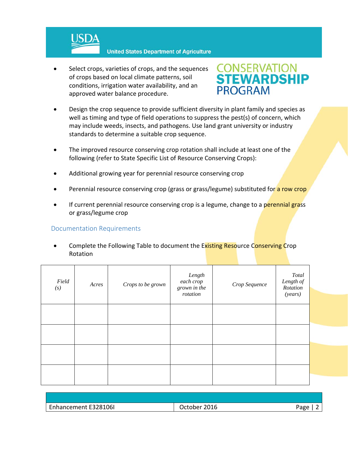

 Select crops, varieties of crops, and the sequences of crops based on local climate patterns, soil conditions, irrigation water availability, and an approved water balance procedure.



- Design the crop sequence to provide sufficient diversity in plant family and species as well as timing and type of field operations to suppress the pest(s) of concern, which may include weeds, insects, and pathogens. Use land grant university or industry standards to determine a suitable crop sequence.
- The improved resource conserving crop rotation shall include at least one of the following (refer to State Specific List of Resource Conserving Crops):
- Additional growing year for perennial resource conserving crop
- Perennial resource conserving crop (grass or grass/legume) substituted for a row crop
- If current perennial resource conserving crop is a legume, change to a perennial grass or grass/legume crop

## Documentation Requirements

Complete the Following Table to document the Existing Resource Conserving Crop Rotation

| Field<br>(s) | Acres | Crops to be grown | Length<br>each crop<br>grown in the<br>rotation | Crop Sequence | Total<br>Length of<br>Rotation<br>(years) |  |
|--------------|-------|-------------------|-------------------------------------------------|---------------|-------------------------------------------|--|
|              |       |                   |                                                 |               |                                           |  |
|              |       |                   |                                                 |               |                                           |  |
|              |       |                   |                                                 |               |                                           |  |
|              |       |                   |                                                 |               |                                           |  |

| Enhancement E328106I | 2016           | Aapp |
|----------------------|----------------|------|
| $T_{\rm min}$        | <b>October</b> | ס י  |